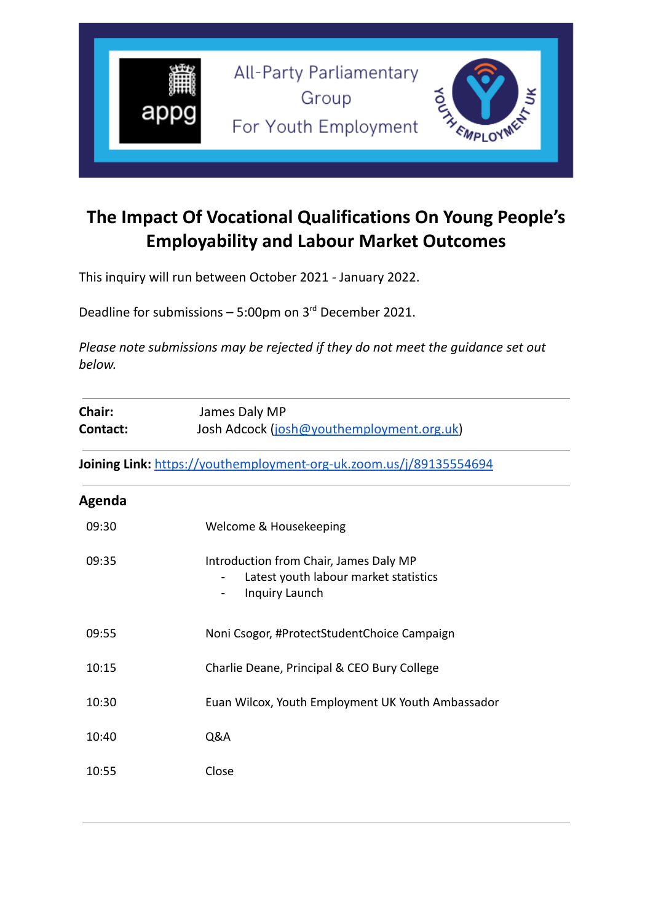

# **The Impact Of Vocational Qualifications On Young People's Employability and Labour Market Outcomes**

This inquiry will run between October 2021 - January 2022.

Deadline for submissions  $-5:00$ pm on  $3<sup>rd</sup>$  December 2021.

*Please note submissions may be rejected if they do not meet the guidance set out below.*

| Chair:<br>Contact: | James Daly MP<br>Josh Adcock (josh@youthemployment.org.uk)                                        |
|--------------------|---------------------------------------------------------------------------------------------------|
|                    | Joining Link: https://youthemployment-org-uk.zoom.us/j/89135554694                                |
| Agenda             |                                                                                                   |
| 09:30              | Welcome & Housekeeping                                                                            |
| 09:35              | Introduction from Chair, James Daly MP<br>Latest youth labour market statistics<br>Inquiry Launch |
| 09:55              | Noni Csogor, #ProtectStudentChoice Campaign                                                       |
| 10:15              | Charlie Deane, Principal & CEO Bury College                                                       |
| 10:30              | Euan Wilcox, Youth Employment UK Youth Ambassador                                                 |
| 10:40              | Q&A                                                                                               |
| 10:55              | Close                                                                                             |
|                    |                                                                                                   |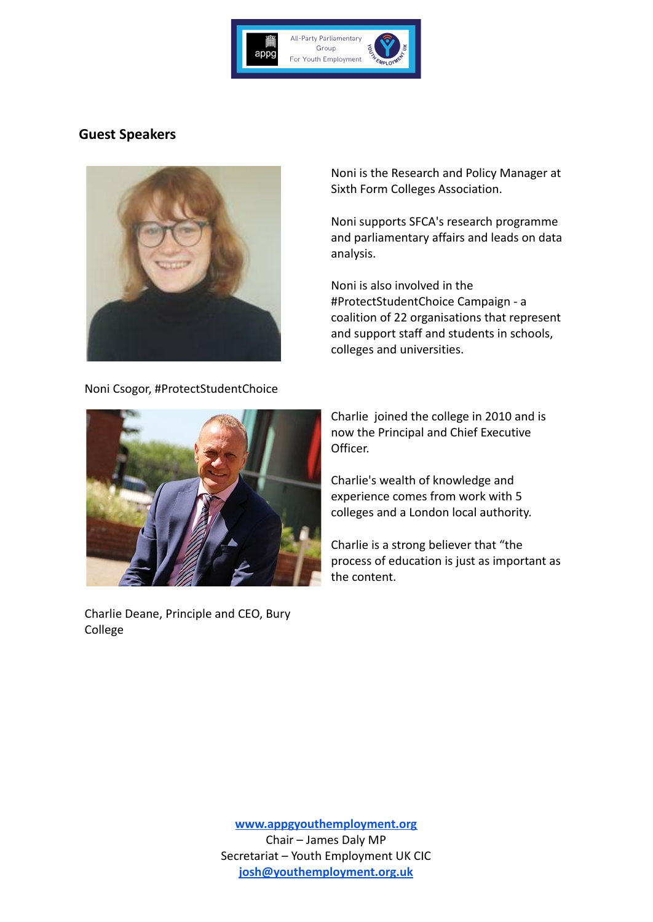

## **Guest Speakers**



Noni Csogor, #ProtectStudentChoice

Noni is the Research and Policy Manager at Sixth Form Colleges Association.

Noni supports SFCA's research programme and parliamentary affairs and leads on data analysis.

Noni is also involved in the #ProtectStudentChoice Campaign - a coalition of 22 organisations that represent and support staff and students in schools, colleges and universities.



Charlie Deane, Principle and CEO, Bury College

Charlie joined the college in 2010 and is now the Principal and Chief Executive Officer.

Charlie's wealth of knowledge and experience comes from work with 5 colleges and a London local authority.

Charlie is a strong believer that "the process of education is just as important as the content.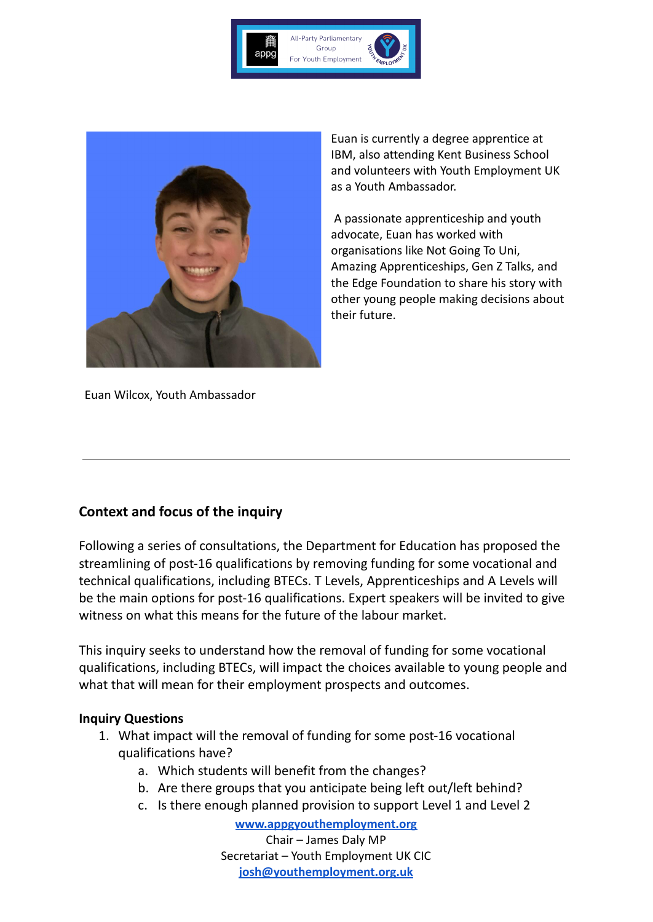



Euan is currently a degree apprentice at IBM, also attending Kent Business School and volunteers with Youth Employment UK as a Youth Ambassador.

A passionate apprenticeship and youth advocate, Euan has worked with organisations like Not Going To Uni, Amazing Apprenticeships, Gen Z Talks, and the Edge Foundation to share his story with other young people making decisions about their future.

Euan Wilcox, Youth Ambassador

## **Context and focus of the inquiry**

Following a series of consultations, the Department for Education has proposed the streamlining of post-16 qualifications by removing funding for some vocational and technical qualifications, including BTECs. T Levels, Apprenticeships and A Levels will be the main options for post-16 qualifications. Expert speakers will be invited to give witness on what this means for the future of the labour market.

This inquiry seeks to understand how the removal of funding for some vocational qualifications, including BTECs, will impact the choices available to young people and what that will mean for their employment prospects and outcomes.

#### **Inquiry Questions**

- 1. What impact will the removal of funding for some post-16 vocational qualifications have?
	- a. Which students will benefit from the changes?
	- b. Are there groups that you anticipate being left out/left behind?
	- c. Is there enough planned provision to support Level 1 and Level 2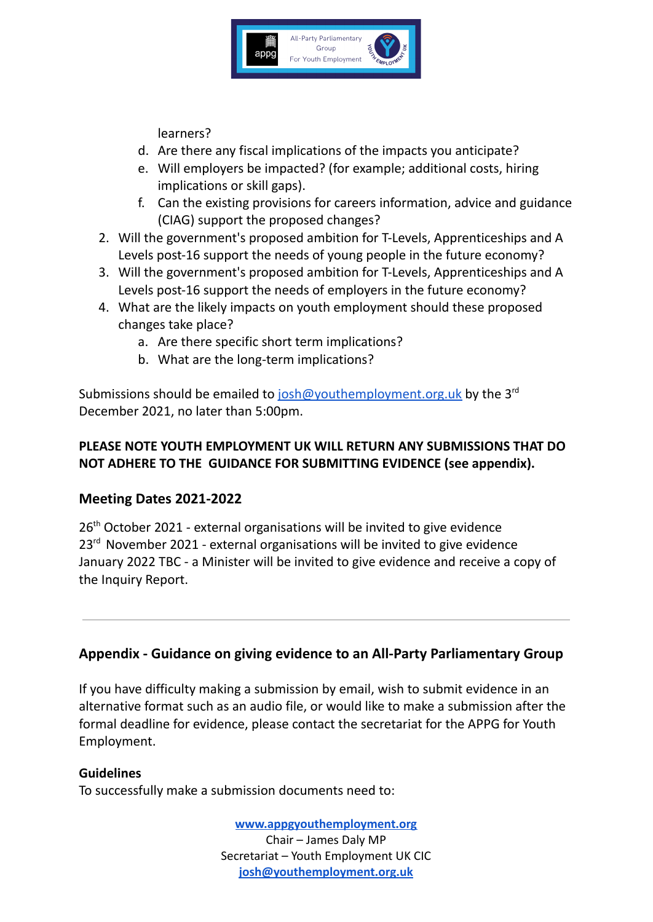

learners?

- d. Are there any fiscal implications of the impacts you anticipate?
- e. Will employers be impacted? (for example; additional costs, hiring implications or skill gaps).
- f. Can the existing provisions for careers information, advice and guidance (CIAG) support the proposed changes?
- 2. Will the government's proposed ambition for T-Levels, Apprenticeships and A Levels post-16 support the needs of young people in the future economy?
- 3. Will the government's proposed ambition for T-Levels, Apprenticeships and A Levels post-16 support the needs of employers in the future economy?
- 4. What are the likely impacts on youth employment should these proposed changes take place?
	- a. Are there specific short term implications?
	- b. What are the long-term implications?

Submissions should be emailed to [josh@youthemployment.org.uk](mailto:josh@youthemployment.org.uk) by the 3<sup>rd</sup> December 2021, no later than 5:00pm.

## **PLEASE NOTE YOUTH EMPLOYMENT UK WILL RETURN ANY SUBMISSIONS THAT DO NOT ADHERE TO THE GUIDANCE FOR SUBMITTING EVIDENCE (see appendix).**

## **Meeting Dates 2021-2022**

26<sup>th</sup> October 2021 - external organisations will be invited to give evidence 23<sup>rd</sup> November 2021 - external organisations will be invited to give evidence January 2022 TBC - a Minister will be invited to give evidence and receive a copy of the Inquiry Report.

## **Appendix - Guidance on giving evidence to an All-Party Parliamentary Group**

If you have difficulty making a submission by email, wish to submit evidence in an alternative format such as an audio file, or would like to make a submission after the formal deadline for evidence, please contact the secretariat for the APPG for Youth Employment.

#### **Guidelines**

To successfully make a submission documents need to: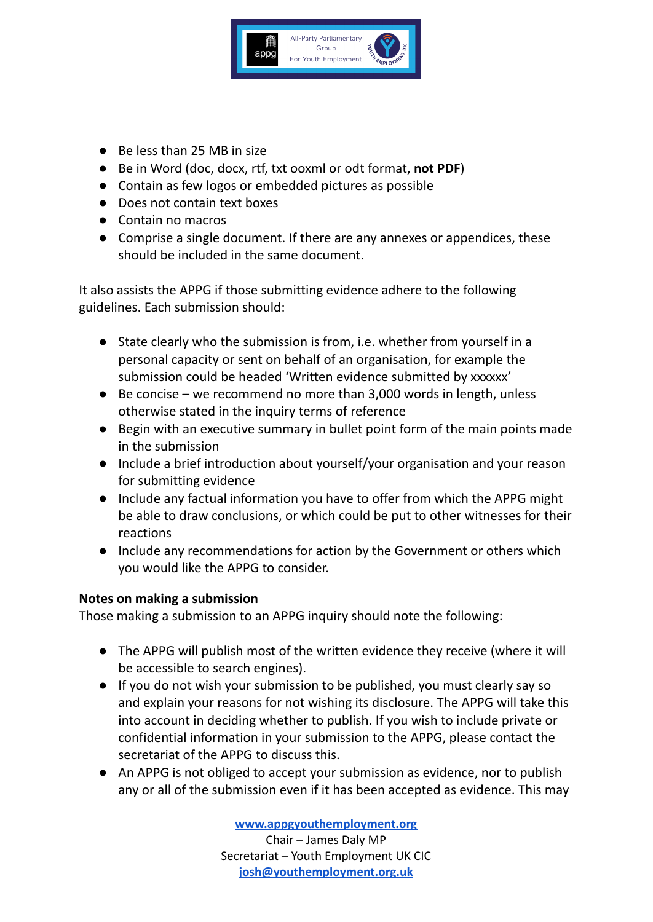

- Be less than 25 MB in size
- Be in Word (doc, docx, rtf, txt ooxml or odt format, **not PDF**)
- Contain as few logos or embedded pictures as possible
- Does not contain text boxes
- Contain no macros
- Comprise a single document. If there are any annexes or appendices, these should be included in the same document.

It also assists the APPG if those submitting evidence adhere to the following guidelines. Each submission should:

- State clearly who the submission is from, i.e. whether from yourself in a personal capacity or sent on behalf of an organisation, for example the submission could be headed 'Written evidence submitted by xxxxxx'
- $\bullet$  Be concise we recommend no more than 3,000 words in length, unless otherwise stated in the inquiry terms of reference
- Begin with an executive summary in bullet point form of the main points made in the submission
- Include a brief introduction about yourself/your organisation and your reason for submitting evidence
- Include any factual information you have to offer from which the APPG might be able to draw conclusions, or which could be put to other witnesses for their reactions
- Include any recommendations for action by the Government or others which you would like the APPG to consider.

#### **Notes on making a submission**

Those making a submission to an APPG inquiry should note the following:

- The APPG will publish most of the written evidence they receive (where it will be accessible to search engines).
- If you do not wish your submission to be published, you must clearly say so and explain your reasons for not wishing its disclosure. The APPG will take this into account in deciding whether to publish. If you wish to include private or confidential information in your submission to the APPG, please contact the secretariat of the APPG to discuss this.
- An APPG is not obliged to accept your submission as evidence, nor to publish any or all of the submission even if it has been accepted as evidence. This may